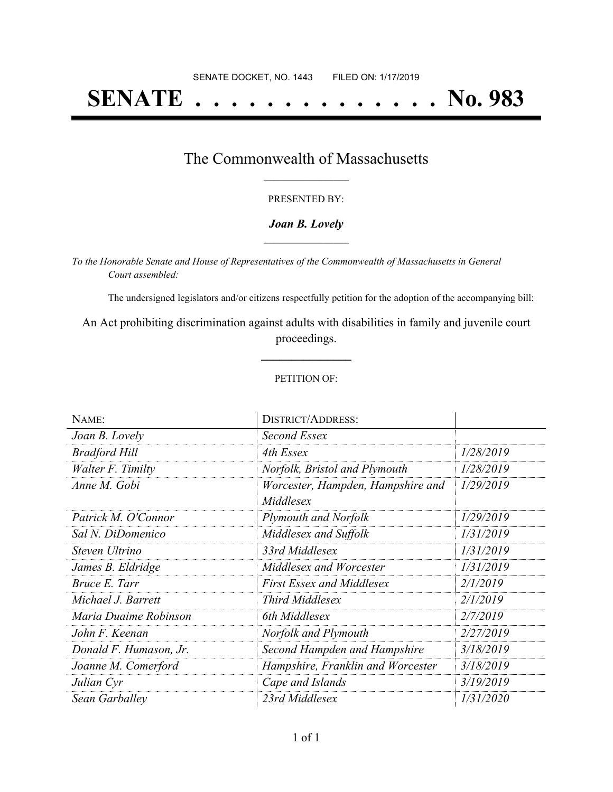# **SENATE . . . . . . . . . . . . . . No. 983**

## The Commonwealth of Massachusetts **\_\_\_\_\_\_\_\_\_\_\_\_\_\_\_\_\_**

#### PRESENTED BY:

#### *Joan B. Lovely* **\_\_\_\_\_\_\_\_\_\_\_\_\_\_\_\_\_**

*To the Honorable Senate and House of Representatives of the Commonwealth of Massachusetts in General Court assembled:*

The undersigned legislators and/or citizens respectfully petition for the adoption of the accompanying bill:

An Act prohibiting discrimination against adults with disabilities in family and juvenile court proceedings.

**\_\_\_\_\_\_\_\_\_\_\_\_\_\_\_**

#### PETITION OF:

| NAME:                  | <b>DISTRICT/ADDRESS:</b>                       |           |
|------------------------|------------------------------------------------|-----------|
| Joan B. Lovely         | Second Essex                                   |           |
| <b>Bradford Hill</b>   | 4th Essex                                      | 1/28/2019 |
| Walter F. Timilty      | Norfolk, Bristol and Plymouth                  | 1/28/2019 |
| Anne M. Gobi           | Worcester, Hampden, Hampshire and<br>Middlesex | 1/29/2019 |
| Patrick M. O'Connor    | <b>Plymouth and Norfolk</b>                    | 1/29/2019 |
| Sal N. DiDomenico      | Middlesex and Suffolk                          | 1/31/2019 |
| Steven Ultrino         | 33rd Middlesex                                 | 1/31/2019 |
| James B. Eldridge      | Middlesex and Worcester                        | 1/31/2019 |
| Bruce E. Tarr          | First Essex and Middlesex                      | 2/1/2019  |
| Michael J. Barrett     | <b>Third Middlesex</b>                         | 2/1/2019  |
| Maria Duaime Robinson  | 6th Middlesex                                  | 2/7/2019  |
| John F. Keenan         | Norfolk and Plymouth                           | 2/27/2019 |
| Donald F. Humason, Jr. | Second Hampden and Hampshire                   | 3/18/2019 |
| Joanne M. Comerford    | Hampshire, Franklin and Worcester              | 3/18/2019 |
| Julian Cyr             | Cape and Islands                               | 3/19/2019 |
| Sean Garballey         | 23rd Middlesex                                 | 1/31/2020 |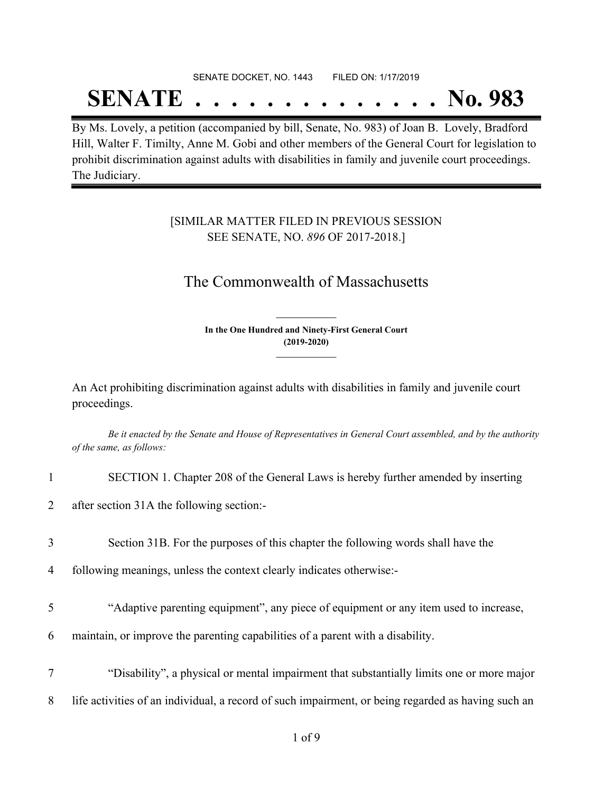# SENATE DOCKET, NO. 1443 FILED ON: 1/17/2019 **SENATE . . . . . . . . . . . . . . No. 983**

By Ms. Lovely, a petition (accompanied by bill, Senate, No. 983) of Joan B. Lovely, Bradford Hill, Walter F. Timilty, Anne M. Gobi and other members of the General Court for legislation to prohibit discrimination against adults with disabilities in family and juvenile court proceedings. The Judiciary.

### [SIMILAR MATTER FILED IN PREVIOUS SESSION SEE SENATE, NO. *896* OF 2017-2018.]

# The Commonwealth of Massachusetts

**In the One Hundred and Ninety-First General Court (2019-2020) \_\_\_\_\_\_\_\_\_\_\_\_\_\_\_**

**\_\_\_\_\_\_\_\_\_\_\_\_\_\_\_**

An Act prohibiting discrimination against adults with disabilities in family and juvenile court proceedings.

Be it enacted by the Senate and House of Representatives in General Court assembled, and by the authority *of the same, as follows:*

- 1 SECTION 1. Chapter 208 of the General Laws is hereby further amended by inserting
- 2 after section 31A the following section:-
- 3 Section 31B. For the purposes of this chapter the following words shall have the
- 4 following meanings, unless the context clearly indicates otherwise:-
- 5 "Adaptive parenting equipment", any piece of equipment or any item used to increase,
- 6 maintain, or improve the parenting capabilities of a parent with a disability.
- 7 "Disability", a physical or mental impairment that substantially limits one or more major 8 life activities of an individual, a record of such impairment, or being regarded as having such an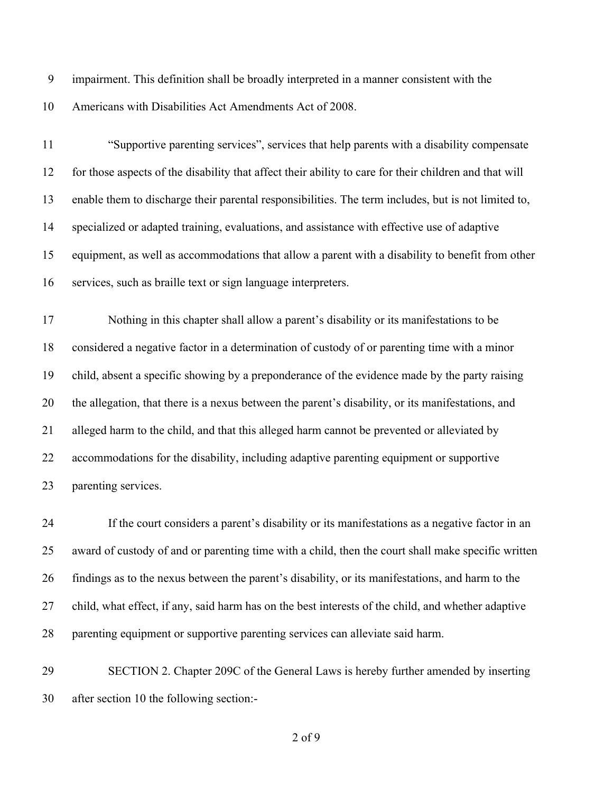impairment. This definition shall be broadly interpreted in a manner consistent with the Americans with Disabilities Act Amendments Act of 2008.

 "Supportive parenting services", services that help parents with a disability compensate for those aspects of the disability that affect their ability to care for their children and that will enable them to discharge their parental responsibilities. The term includes, but is not limited to, specialized or adapted training, evaluations, and assistance with effective use of adaptive equipment, as well as accommodations that allow a parent with a disability to benefit from other services, such as braille text or sign language interpreters.

 Nothing in this chapter shall allow a parent's disability or its manifestations to be considered a negative factor in a determination of custody of or parenting time with a minor child, absent a specific showing by a preponderance of the evidence made by the party raising the allegation, that there is a nexus between the parent's disability, or its manifestations, and alleged harm to the child, and that this alleged harm cannot be prevented or alleviated by accommodations for the disability, including adaptive parenting equipment or supportive parenting services.

 If the court considers a parent's disability or its manifestations as a negative factor in an award of custody of and or parenting time with a child, then the court shall make specific written findings as to the nexus between the parent's disability, or its manifestations, and harm to the child, what effect, if any, said harm has on the best interests of the child, and whether adaptive parenting equipment or supportive parenting services can alleviate said harm.

 SECTION 2. Chapter 209C of the General Laws is hereby further amended by inserting after section 10 the following section:-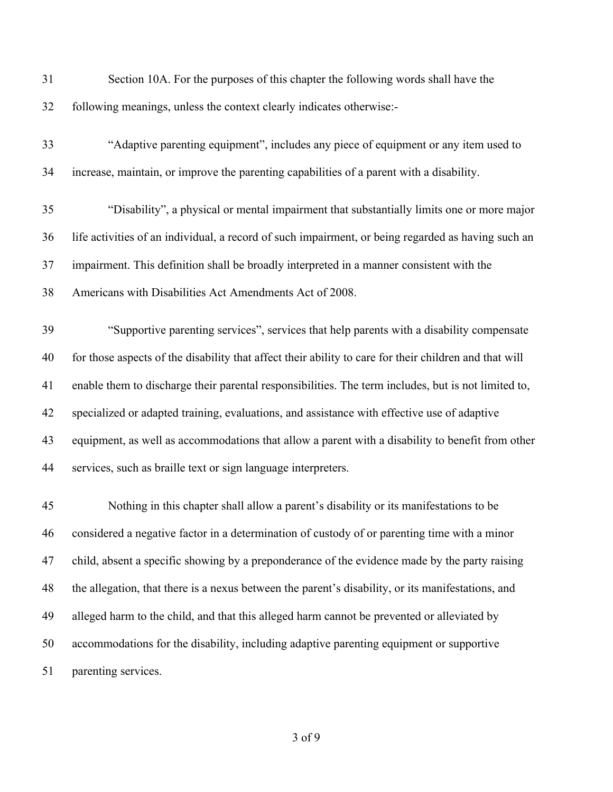| 31 | Section 10A. For the purposes of this chapter the following words shall have the                       |
|----|--------------------------------------------------------------------------------------------------------|
| 32 | following meanings, unless the context clearly indicates otherwise:-                                   |
| 33 | "Adaptive parenting equipment", includes any piece of equipment or any item used to                    |
| 34 | increase, maintain, or improve the parenting capabilities of a parent with a disability.               |
| 35 | "Disability", a physical or mental impairment that substantially limits one or more major              |
| 36 | life activities of an individual, a record of such impairment, or being regarded as having such an     |
| 37 | impairment. This definition shall be broadly interpreted in a manner consistent with the               |
| 38 | Americans with Disabilities Act Amendments Act of 2008.                                                |
| 39 | "Supportive parenting services", services that help parents with a disability compensate               |
| 40 | for those aspects of the disability that affect their ability to care for their children and that will |
| 41 | enable them to discharge their parental responsibilities. The term includes, but is not limited to,    |
| 42 | specialized or adapted training, evaluations, and assistance with effective use of adaptive            |
| 43 | equipment, as well as accommodations that allow a parent with a disability to benefit from other       |
| 44 | services, such as braille text or sign language interpreters.                                          |
| 45 | Nothing in this chapter shall allow a parent's disability or its manifestations to be                  |
| 46 | considered a negative factor in a determination of custody of or parenting time with a minor           |
| 47 | child, absent a specific showing by a preponderance of the evidence made by the party raising          |
| 48 | the allegation, that there is a nexus between the parent's disability, or its manifestations, and      |
| 49 | alleged harm to the child, and that this alleged harm cannot be prevented or alleviated by             |
| 50 | accommodations for the disability, including adaptive parenting equipment or supportive                |
| 51 | parenting services.                                                                                    |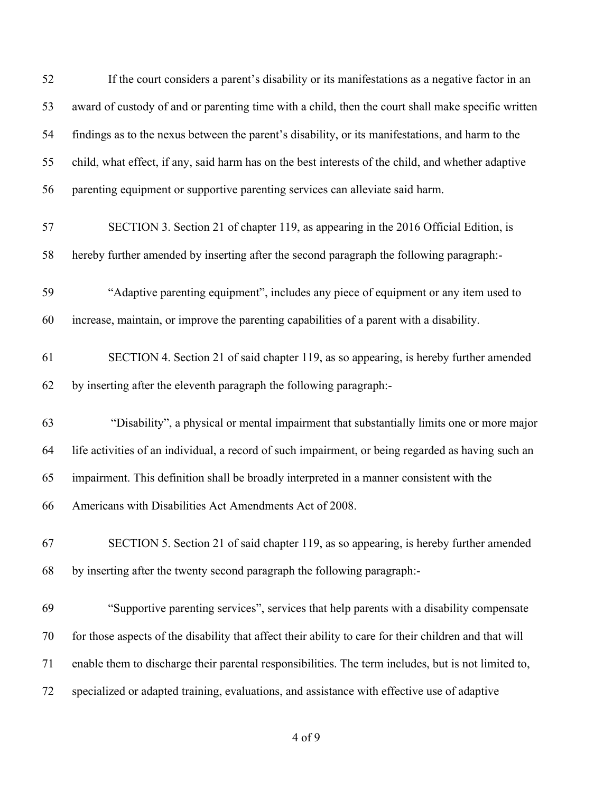| 52 | If the court considers a parent's disability or its manifestations as a negative factor in an          |
|----|--------------------------------------------------------------------------------------------------------|
| 53 | award of custody of and or parenting time with a child, then the court shall make specific written     |
| 54 | findings as to the nexus between the parent's disability, or its manifestations, and harm to the       |
| 55 | child, what effect, if any, said harm has on the best interests of the child, and whether adaptive     |
| 56 | parenting equipment or supportive parenting services can alleviate said harm.                          |
| 57 | SECTION 3. Section 21 of chapter 119, as appearing in the 2016 Official Edition, is                    |
| 58 | hereby further amended by inserting after the second paragraph the following paragraph:-               |
| 59 | "Adaptive parenting equipment", includes any piece of equipment or any item used to                    |
| 60 | increase, maintain, or improve the parenting capabilities of a parent with a disability.               |
| 61 | SECTION 4. Section 21 of said chapter 119, as so appearing, is hereby further amended                  |
| 62 | by inserting after the eleventh paragraph the following paragraph:-                                    |
| 63 | "Disability", a physical or mental impairment that substantially limits one or more major              |
| 64 | life activities of an individual, a record of such impairment, or being regarded as having such an     |
| 65 | impairment. This definition shall be broadly interpreted in a manner consistent with the               |
| 66 | Americans with Disabilities Act Amendments Act of 2008.                                                |
| 67 | SECTION 5. Section 21 of said chapter 119, as so appearing, is hereby further amended                  |
| 68 | by inserting after the twenty second paragraph the following paragraph:-                               |
| 69 | "Supportive parenting services", services that help parents with a disability compensate               |
| 70 | for those aspects of the disability that affect their ability to care for their children and that will |
| 71 | enable them to discharge their parental responsibilities. The term includes, but is not limited to,    |
| 72 | specialized or adapted training, evaluations, and assistance with effective use of adaptive            |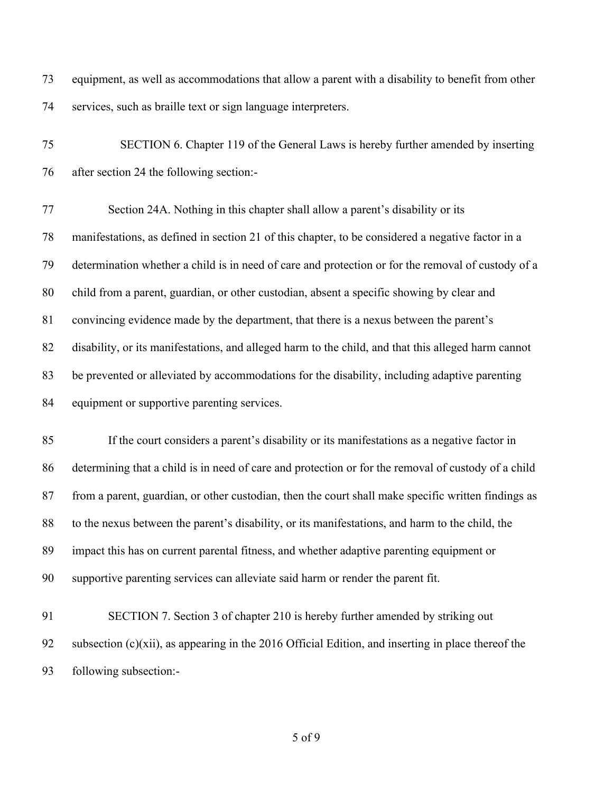equipment, as well as accommodations that allow a parent with a disability to benefit from other services, such as braille text or sign language interpreters.

 SECTION 6. Chapter 119 of the General Laws is hereby further amended by inserting after section 24 the following section:-

 Section 24A. Nothing in this chapter shall allow a parent's disability or its manifestations, as defined in section 21 of this chapter, to be considered a negative factor in a determination whether a child is in need of care and protection or for the removal of custody of a child from a parent, guardian, or other custodian, absent a specific showing by clear and convincing evidence made by the department, that there is a nexus between the parent's disability, or its manifestations, and alleged harm to the child, and that this alleged harm cannot be prevented or alleviated by accommodations for the disability, including adaptive parenting 84 equipment or supportive parenting services.

 If the court considers a parent's disability or its manifestations as a negative factor in determining that a child is in need of care and protection or for the removal of custody of a child from a parent, guardian, or other custodian, then the court shall make specific written findings as to the nexus between the parent's disability, or its manifestations, and harm to the child, the impact this has on current parental fitness, and whether adaptive parenting equipment or supportive parenting services can alleviate said harm or render the parent fit.

 SECTION 7. Section 3 of chapter 210 is hereby further amended by striking out subsection (c)(xii), as appearing in the 2016 Official Edition, and inserting in place thereof the following subsection:-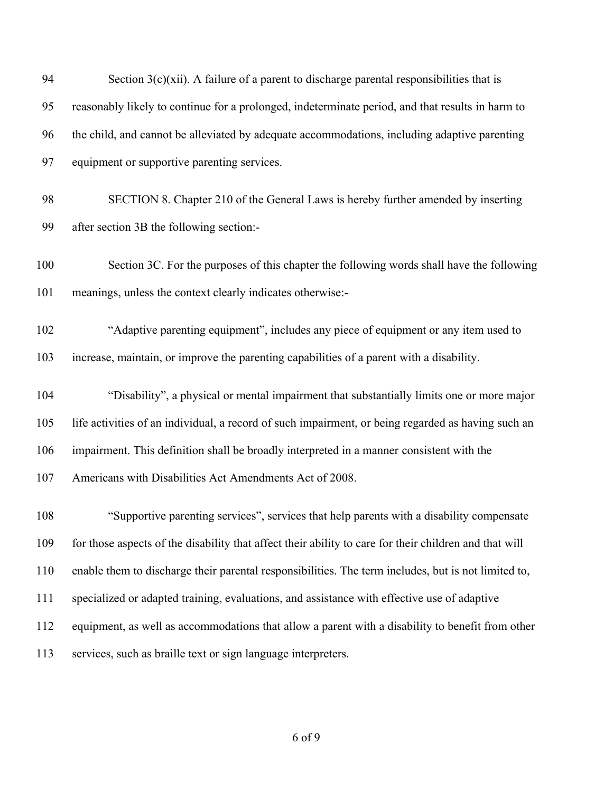| 94  | Section $3(c)(xii)$ . A failure of a parent to discharge parental responsibilities that is             |
|-----|--------------------------------------------------------------------------------------------------------|
| 95  | reasonably likely to continue for a prolonged, indeterminate period, and that results in harm to       |
| 96  | the child, and cannot be alleviated by adequate accommodations, including adaptive parenting           |
| 97  | equipment or supportive parenting services.                                                            |
| 98  | SECTION 8. Chapter 210 of the General Laws is hereby further amended by inserting                      |
| 99  | after section 3B the following section:-                                                               |
| 100 | Section 3C. For the purposes of this chapter the following words shall have the following              |
| 101 | meanings, unless the context clearly indicates otherwise:-                                             |
| 102 | "Adaptive parenting equipment", includes any piece of equipment or any item used to                    |
| 103 | increase, maintain, or improve the parenting capabilities of a parent with a disability.               |
| 104 | "Disability", a physical or mental impairment that substantially limits one or more major              |
| 105 | life activities of an individual, a record of such impairment, or being regarded as having such an     |
| 106 | impairment. This definition shall be broadly interpreted in a manner consistent with the               |
| 107 | Americans with Disabilities Act Amendments Act of 2008.                                                |
| 108 | "Supportive parenting services", services that help parents with a disability compensate               |
| 109 | for those aspects of the disability that affect their ability to care for their children and that will |
| 110 | enable them to discharge their parental responsibilities. The term includes, but is not limited to,    |
| 111 | specialized or adapted training, evaluations, and assistance with effective use of adaptive            |
| 112 | equipment, as well as accommodations that allow a parent with a disability to benefit from other       |
| 113 | services, such as braille text or sign language interpreters.                                          |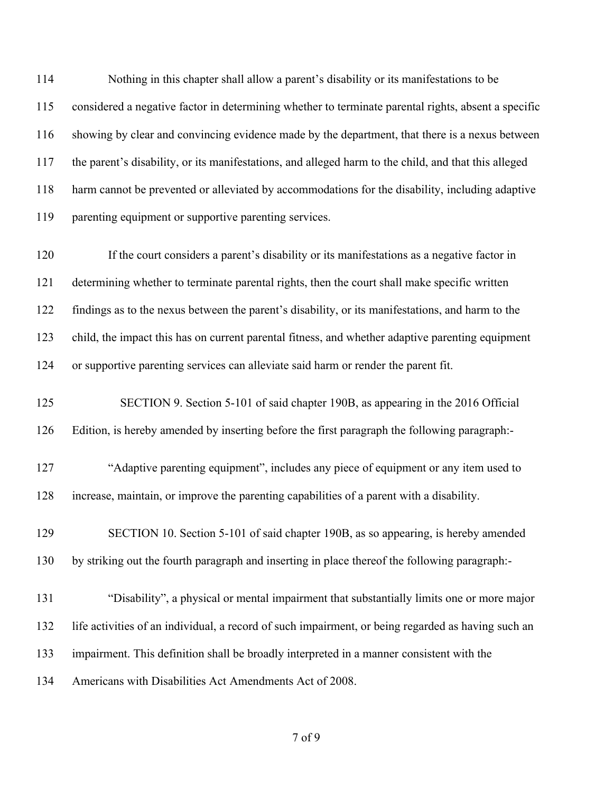Nothing in this chapter shall allow a parent's disability or its manifestations to be considered a negative factor in determining whether to terminate parental rights, absent a specific showing by clear and convincing evidence made by the department, that there is a nexus between the parent's disability, or its manifestations, and alleged harm to the child, and that this alleged harm cannot be prevented or alleviated by accommodations for the disability, including adaptive parenting equipment or supportive parenting services.

 If the court considers a parent's disability or its manifestations as a negative factor in determining whether to terminate parental rights, then the court shall make specific written findings as to the nexus between the parent's disability, or its manifestations, and harm to the child, the impact this has on current parental fitness, and whether adaptive parenting equipment or supportive parenting services can alleviate said harm or render the parent fit.

 SECTION 9. Section 5-101 of said chapter 190B, as appearing in the 2016 Official Edition, is hereby amended by inserting before the first paragraph the following paragraph:-

 "Adaptive parenting equipment", includes any piece of equipment or any item used to increase, maintain, or improve the parenting capabilities of a parent with a disability.

 SECTION 10. Section 5-101 of said chapter 190B, as so appearing, is hereby amended by striking out the fourth paragraph and inserting in place thereof the following paragraph:-

 "Disability", a physical or mental impairment that substantially limits one or more major life activities of an individual, a record of such impairment, or being regarded as having such an impairment. This definition shall be broadly interpreted in a manner consistent with the Americans with Disabilities Act Amendments Act of 2008.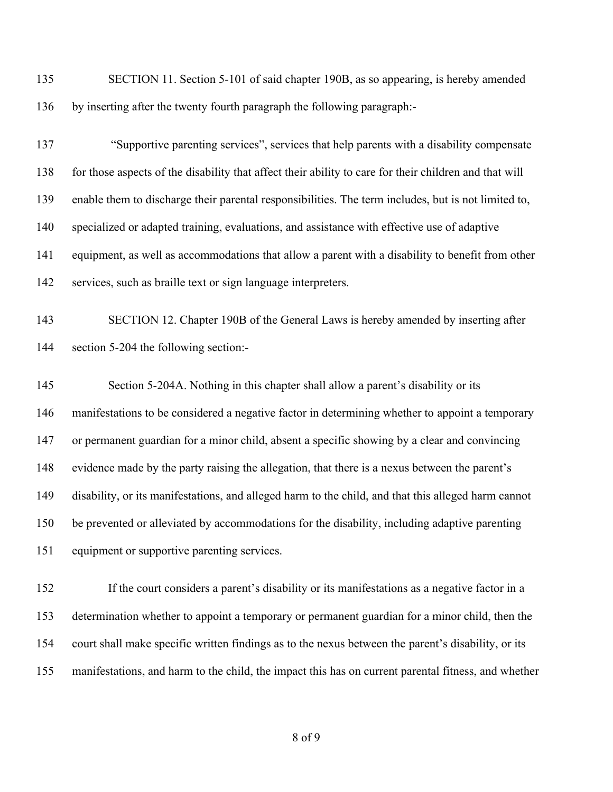SECTION 11. Section 5-101 of said chapter 190B, as so appearing, is hereby amended by inserting after the twenty fourth paragraph the following paragraph:-

 "Supportive parenting services", services that help parents with a disability compensate for those aspects of the disability that affect their ability to care for their children and that will enable them to discharge their parental responsibilities. The term includes, but is not limited to, specialized or adapted training, evaluations, and assistance with effective use of adaptive equipment, as well as accommodations that allow a parent with a disability to benefit from other services, such as braille text or sign language interpreters.

 SECTION 12. Chapter 190B of the General Laws is hereby amended by inserting after section 5-204 the following section:-

 Section 5-204A. Nothing in this chapter shall allow a parent's disability or its manifestations to be considered a negative factor in determining whether to appoint a temporary or permanent guardian for a minor child, absent a specific showing by a clear and convincing evidence made by the party raising the allegation, that there is a nexus between the parent's disability, or its manifestations, and alleged harm to the child, and that this alleged harm cannot be prevented or alleviated by accommodations for the disability, including adaptive parenting equipment or supportive parenting services.

 If the court considers a parent's disability or its manifestations as a negative factor in a determination whether to appoint a temporary or permanent guardian for a minor child, then the court shall make specific written findings as to the nexus between the parent's disability, or its manifestations, and harm to the child, the impact this has on current parental fitness, and whether